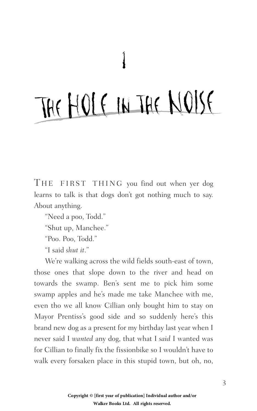## THE HOLE IN THE NOISE

THE FIRST THING you find out when yer dog learns to talk is that dogs don't got nothing much to say. About anything.

"Need a poo, Todd."

"Shut up, Manchee."

"Poo. Poo, Todd."

"I said *shut it*."

We're walking across the wild fields south-east of town, those ones that slope down to the river and head on towards the swamp. Ben's sent me to pick him some swamp apples and he's made me take Manchee with me, even tho we all know Cillian only bought him to stay on Mayor Prentiss's good side and so suddenly here's this brand new dog as a present for my birthday last year when I never said I *wanted* any dog, that what I *said* I wanted was for Cillian to finally fix the fissionbike so I wouldn't have to walk every forsaken place in this stupid town, but oh, no,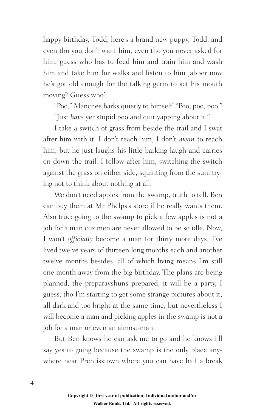happy birthday, Todd, here's a brand new puppy, Todd, and even tho you don't want him, even tho you never asked for him, guess who has to feed him and train him and wash him and take him for walks and listen to him jabber now he's got old enough for the talking germ to set his mouth moving? Guess who?

"Poo," Manchee barks quietly to himself. "Poo, poo, poo."

"Just *have* yer stupid poo and quit yapping about it."

I take a switch of grass from beside the trail and I swat after him with it. I don't reach him, I don't *mean* to reach him, but he just laughs his little barking laugh and carries on down the trail. I follow after him, switching the switch against the grass on either side, squinting from the sun, trying not to think about nothing at all.

We don't need apples from the swamp, truth to tell. Ben can buy them at Mr Phelps's store if he really wants them. Also true: going to the swamp to pick a few apples is not a job for a man cuz men are never allowed to be so idle. Now, I won't *officially* become a man for thirty more days. I've lived twelve years of thirteen long months each and another twelve months besides, all of which living means I'm still one month away from the big birthday. The plans are being planned, the preparayshuns prepared, it will be a party, I guess, tho I'm starting to get some strange pictures about it, all dark and too bright at the same time, but nevertheless I will become a man and picking apples in the swamp is not a job for a man or even an almost-man.

But Ben knows he can ask me to go and he knows I'll say yes to going because the swamp is the only place anywhere near Prentisstown where you can have half a break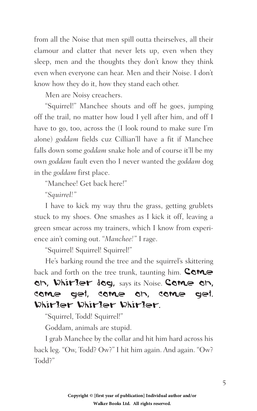from all the Noise that men spill outta theirselves, all their clamour and clatter that never lets up, even when they sleep, men and the thoughts they don't know they think even when everyone can hear. Men and their Noise. I don't know how they do it, how they stand each other.

Men are Noisy creachers.

"Squirrel!" Manchee shouts and off he goes, jumping off the trail, no matter how loud I yell after him, and off I have to go, too, across the (I look round to make sure I'm alone) *goddam* fields cuz Cillian'll have a fit if Manchee falls down some *goddam* snake hole and of course it'll be my own *goddam* fault even tho I never wanted the *goddam* dog in the *goddam* first place.

"Manchee! Get back here!"

"*Squirrel!*"

I have to kick my way thru the grass, getting grublets stuck to my shoes. One smashes as I kick it off, leaving a green smear across my trainers, which I know from experience ain't coming out. "*Manchee!*" I rage.

"Squirrel! Squirrel! Squirrel!"

He's barking round the tree and the squirrel's skittering back and forth on the tree trunk, taunting him.  $Come$ on, Whirler dog, says its Noise. Come on, come get, come on, come get. Whirler Whirler Whirler.

"Squirrel, Todd! Squirrel!"

Goddam, animals are stupid.

I grab Manchee by the collar and hit him hard across his back leg. "Ow, Todd? Ow?" I hit him again. And again. "Ow? Todd?"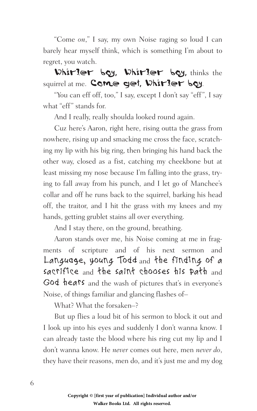"Come *on*," I say, my own Noise raging so loud I can barely hear myself think, which is something I'm about to regret, you watch.

Whirler boy, Whirler boy, thinks the squirrel at me. Come get, Whirler boy*.*

"You can eff off, too," I say, except I don't say "eff", I say what "eff" stands for.

And I really, really shoulda looked round again.

Cuz here's Aaron, right here, rising outta the grass from nowhere, rising up and smacking me cross the face, scratching my lip with his big ring, then bringing his hand back the other way, closed as a fist, catching my cheekbone but at least missing my nose because I'm falling into the grass, trying to fall away from his punch, and I let go of Manchee's collar and off he runs back to the squirrel, barking his head off, the traitor, and I hit the grass with my knees and my hands, getting grublet stains all over everything.

And I stay there, on the ground, breathing.

Aaron stands over me, his Noise coming at me in fragments of scripture and of his next sermon and Language, young Todd and the finding of a sacrifice and the saint chooses his path and God hears and the wash of pictures that's in everyone's Noise, of things familiar and glancing flashes of–

What? What the forsaken–?

But up flies a loud bit of his sermon to block it out and I look up into his eyes and suddenly I don't wanna know. I can already taste the blood where his ring cut my lip and I don't wanna know. He *never* comes out here, men *never do*, they have their reasons, men do, and it's just me and my dog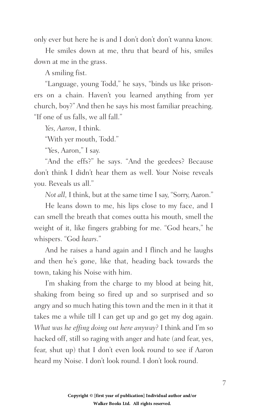only ever but here he is and I don't don't don't wanna know.

He smiles down at me, thru that beard of his, smiles down at me in the grass.

A smiling fist.

"Language, young Todd," he says, "binds us like prisoners on a chain. Haven't you learned anything from yer church, boy?" And then he says his most familiar preaching. "If one of us falls, we all fall."

*Yes, Aaron*, I think.

"With yer mouth, Todd."

"Yes, Aaron," I say.

"And the effs?" he says. "And the geedees? Because don't think I didn't hear them as well. Your Noise reveals you. Reveals us all."

*Not all,* I think, but at the same time I say, "Sorry, Aaron."

He leans down to me, his lips close to my face, and I can smell the breath that comes outta his mouth, smell the weight of it, like fingers grabbing for me. "God hears," he whispers. "God *hears*."

And he raises a hand again and I flinch and he laughs and then he's gone, like that, heading back towards the town, taking his Noise with him.

I'm shaking from the charge to my blood at being hit, shaking from being so fired up and so surprised and so angry and so much hating this town and the men in it that it takes me a while till I can get up and go get my dog again. *What was he effing doing out here anyway?* I think and I'm so hacked off, still so raging with anger and hate (and fear, yes, fear, shut up) that I don't even look round to see if Aaron heard my Noise. I don't look round. I don't look round.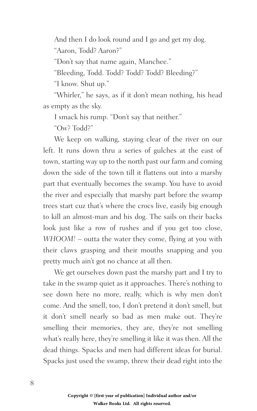And then I do look round and I go and get my dog. "Aaron, Todd? Aaron?"

"Don't say that name again, Manchee."

"Bleeding, Todd. Todd? Todd? Todd? Bleeding?"

"I know. Shut up."

"Whirler," he says, as if it don't mean nothing, his head as empty as the sky.

I smack his rump. "Don't say that neither."

"Ow? Todd?"

We keep on walking, staying clear of the river on our left. It runs down thru a series of gulches at the east of town, starting way up to the north past our farm and coming down the side of the town till it flattens out into a marshy part that eventually becomes the swamp. You have to avoid the river and especially that marshy part before the swamp trees start cuz that's where the crocs live, easily big enough to kill an almost-man and his dog. The sails on their backs look just like a row of rushes and if you get too close, *WHOOM!* – outta the water they come, flying at you with their claws grasping and their mouths snapping and you pretty much ain't got no chance at all then.

We get ourselves down past the marshy part and I try to take in the swamp quiet as it approaches. There's nothing to see down here no more, really, which is why men don't come. And the smell, too, I don't pretend it don't smell, but it don't smell nearly so bad as men make out. They're smelling their memories, they are, they're not smelling what's really here, they're smelling it like it was then. All the dead things. Spacks and men had different ideas for burial. Spacks just used the swamp, threw their dead right into the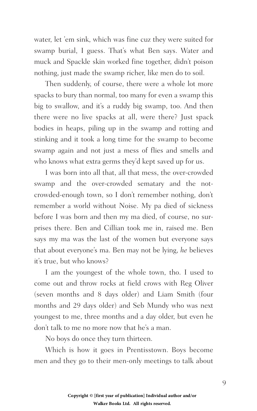water, let 'em sink, which was fine cuz they were suited for swamp burial, I guess. That's what Ben says. Water and muck and Spackle skin worked fine together, didn't poison nothing, just made the swamp richer, like men do to soil.

Then suddenly, of course, there were a whole lot more spacks to bury than normal, too many for even a swamp this big to swallow, and it's a ruddy big swamp, too. And then there were no live spacks at all, were there? Just spack bodies in heaps, piling up in the swamp and rotting and stinking and it took a long time for the swamp to become swamp again and not just a mess of flies and smells and who knows what extra germs they'd kept saved up for us.

I was born into all that, all that mess, the over-crowded swamp and the over-crowded sematary and the notcrowded-enough town, so I don't remember nothing, don't remember a world without Noise. My pa died of sickness before I was born and then my ma died, of course, no surprises there. Ben and Cillian took me in, raised me. Ben says my ma was the last of the women but everyone says that about everyone's ma. Ben may not be lying, *he* believes it's true, but who knows?

I am the youngest of the whole town, tho. I used to come out and throw rocks at field crows with Reg Oliver (seven months and 8 days older) and Liam Smith (four months and 29 days older) and Seb Mundy who was next youngest to me, three months and a day older, but even he don't talk to me no more now that he's a man.

No boys do once they turn thirteen.

Which is how it goes in Prentisstown. Boys become men and they go to their men-only meetings to talk about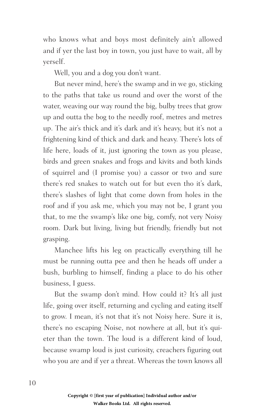who knows what and boys most definitely ain't allowed and if yer the last boy in town, you just have to wait, all by yerself.

Well, you and a dog you don't want.

But never mind, here's the swamp and in we go, sticking to the paths that take us round and over the worst of the water, weaving our way round the big, bulby trees that grow up and outta the bog to the needly roof, metres and metres up. The air's thick and it's dark and it's heavy, but it's not a frightening kind of thick and dark and heavy. There's lots of life here, loads of it, just ignoring the town as you please, birds and green snakes and frogs and kivits and both kinds of squirrel and (I promise you) a cassor or two and sure there's red snakes to watch out for but even tho it's dark, there's slashes of light that come down from holes in the roof and if you ask me, which you may not be, I grant you that, to me the swamp's like one big, comfy, not very Noisy room. Dark but living, living but friendly, friendly but not grasping.

Manchee lifts his leg on practically everything till he must be running outta pee and then he heads off under a bush, burbling to himself, finding a place to do his other business, I guess.

But the swamp don't mind. How could it? It's all just life, going over itself, returning and cycling and eating itself to grow. I mean, it's not that it's not Noisy here. Sure it is, there's no escaping Noise, not nowhere at all, but it's quieter than the town. The loud is a different kind of loud, because swamp loud is just curiosity, creachers figuring out who you are and if yer a threat. Whereas the town knows all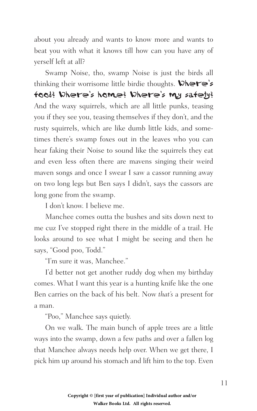about you already and wants to know more and wants to beat you with what it knows till how can you have any of yerself left at all?

Swamp Noise, tho, swamp Noise is just the birds all thinking their worrisome little birdie thoughts.  $\mathbf{W} \in \mathbf{F} \in \mathbf{S}$ food? Where's home? Where's my safety? And the waxy squirrels, which are all little punks, teasing you if they see you, teasing themselves if they don't, and the rusty squirrels, which are like dumb little kids, and sometimes there's swamp foxes out in the leaves who you can hear faking their Noise to sound like the squirrels they eat and even less often there are mavens singing their weird maven songs and once I swear I saw a cassor running away on two long legs but Ben says I didn't, says the cassors are long gone from the swamp.

I don't know. I believe me.

Manchee comes outta the bushes and sits down next to me cuz I've stopped right there in the middle of a trail. He looks around to see what I might be seeing and then he says, "Good poo, Todd."

"I'm sure it was, Manchee."

I'd better not get another ruddy dog when my birthday comes. What I want this year is a hunting knife like the one Ben carries on the back of his belt. Now *that's* a present for a man.

"Poo," Manchee says quietly.

On we walk. The main bunch of apple trees are a little ways into the swamp, down a few paths and over a fallen log that Manchee always needs help over. When we get there, I pick him up around his stomach and lift him to the top. Even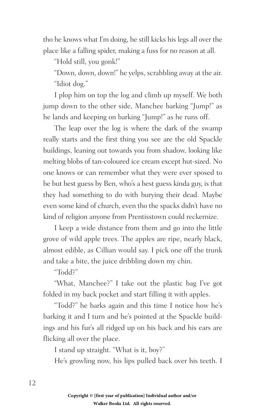tho he knows what I'm doing, he still kicks his legs all over the place like a falling spider, making a fuss for no reason at all.

"Hold still, you gonk!"

"Down, down, down!" he yelps, scrabbling away at the air. "Idiot dog."

I plop him on top the log and climb up myself. We both jump down to the other side, Manchee barking "Jump!" as he lands and keeping on barking "Jump!" as he runs off.

The leap over the log is where the dark of the swamp really starts and the first thing you see are the old Spackle buildings, leaning out towards you from shadow, looking like melting blobs of tan-coloured ice cream except hut-sized. No one knows or can remember what they were ever sposed to be but best guess by Ben, who's a best guess kinda guy, is that they had something to do with burying their dead. Maybe even some kind of church, even tho the spacks didn't have no kind of religion anyone from Prentisstown could reckernize.

I keep a wide distance from them and go into the little grove of wild apple trees. The apples are ripe, nearly black, almost edible, as Cillian would say. I pick one off the trunk and take a bite, the juice dribbling down my chin.

"Todd?"

"What, Manchee?" I take out the plastic bag I've got folded in my back pocket and start filling it with apples.

"Todd?" he barks again and this time I notice how he's barking it and I turn and he's pointed at the Spackle buildings and his fur's all ridged up on his back and his ears are flicking all over the place.

I stand up straight. "What is it, boy?"

He's growling now, his lips pulled back over his teeth. I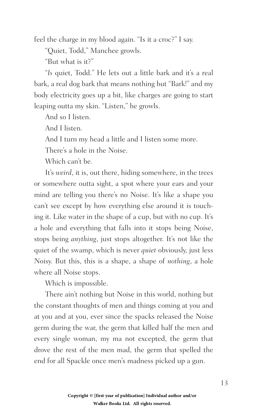feel the charge in my blood again. "Is it a croc?" I say.

"Quiet, Todd," Manchee growls.

"But what is it?"

"*Is* quiet, Todd." He lets out a little bark and it's a real bark, a real dog bark that means nothing but "Bark!" and my body electricity goes up a bit, like charges are going to start leaping outta my skin. "Listen," he growls.

And so I listen.

And I listen.

And I turn my head a little and I listen some more.

There's a hole in the Noise.

Which can't be.

It's *weird*, it is, out there, hiding somewhere, in the trees or somewhere outta sight, a spot where your ears and your mind are telling you there's no Noise. It's like a shape you can't see except by how everything else around it is touching it. Like water in the shape of a cup, but with no cup. It's a hole and everything that falls into it stops being Noise, stops being *anything*, just stops altogether. It's not like the quiet of the swamp, which is never *quiet* obviously, just less Noisy. But this, this is a shape, a shape of *nothing*, a hole where all Noise stops.

Which is impossible.

There ain't nothing but Noise in this world, nothing but the constant thoughts of men and things coming at you and at you and at you, ever since the spacks released the Noise germ during the war, the germ that killed half the men and every single woman, my ma not excepted, the germ that drove the rest of the men mad, the germ that spelled the end for all Spackle once men's madness picked up a gun.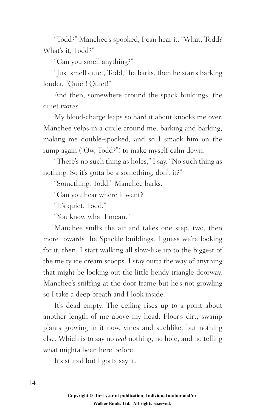"Todd?" Manchee's spooked, I can hear it. "What, Todd? What's it, Todd?"

"Can you smell anything?"

"Just smell quiet, Todd," he barks, then he starts barking louder, "Quiet! Quiet!"

And then, somewhere around the spack buildings, the quiet *moves*.

My blood-charge leaps so hard it about knocks me over. Manchee yelps in a circle around me, barking and barking, making me double-spooked, and so I smack him on the rump again ("Ow, Todd?") to make myself calm down.

"There's no such thing as holes," I say. "No such thing as nothing. So it's gotta be a something, don't it?"

"Something, Todd," Manchee barks.

"Can you hear where it went?"

"It's quiet, Todd."

"You know what I mean."

Manchee sniffs the air and takes one step, two, then more towards the Spackle buildings. I guess we're looking for it, then. I start walking all slow-like up to the biggest of the melty ice cream scoops. I stay outta the way of anything that might be looking out the little bendy triangle doorway. Manchee's sniffing at the door frame but he's not growling so I take a deep breath and I look inside.

It's dead empty. The ceiling rises up to a point about another length of me above my head. Floor's dirt, swamp plants growing in it now, vines and suchlike, but nothing else. Which is to say no *real* nothing, no hole, and no telling what mighta been here before.

It's stupid but I gotta say it.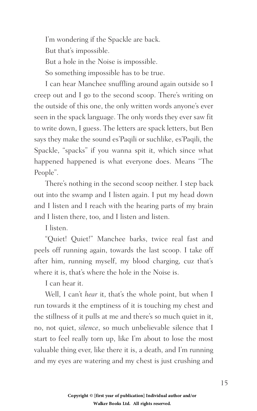I'm wondering if the Spackle are back. But that's impossible. But a hole in the Noise is impossible. So something impossible has to be true.

I can hear Manchee snuffling around again outside so I creep out and I go to the second scoop. There's writing on the outside of this one, the only written words anyone's ever seen in the spack language. The only words they ever saw fit to write down, I guess. The letters are spack letters, but Ben says they make the sound es'Paqili or suchlike, es'Paqili, the Spackle, "spacks" if you wanna spit it, which since what happened happened is what everyone does. Means "The People".

There's nothing in the second scoop neither. I step back out into the swamp and I listen again. I put my head down and I listen and I reach with the hearing parts of my brain and I listen there, too, and I listen and listen.

I listen.

"Quiet! Quiet!" Manchee barks, twice real fast and peels off running again, towards the last scoop. I take off after him, running myself, my blood charging, cuz that's where it is, that's where the hole in the Noise is.

I can hear it.

Well, I can't *hear* it, that's the whole point, but when I run towards it the emptiness of it is touching my chest and the stillness of it pulls at me and there's so much quiet in it, no, not quiet, *silence*, so much unbelievable silence that I start to feel really torn up, like I'm about to lose the most valuable thing ever, like there it is, a death, and I'm running and my eyes are watering and my chest is just crushing and